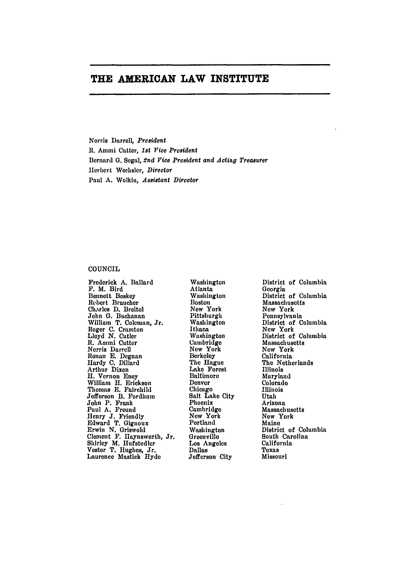# **THE AMERICAN LAW INSTITUTE**

Norris Darrell, *President* R. Ammi Cutter, *1st Vice President* Bernard **G.** Segal, *2nd Vice President and Acting Treasurer* Herbert Wechsler, *Director* Paul **A.** Wolkin, *Assistant Director*

## **COUNCIL**

Frederick **A.** Ballard F. M. Bird Bennett Boskey Robert Braucher Charles **D.** Breitel John **G.** Buchanan William T. Coleman, Jr. Roger **C.** Cramton Lloyd *N.* Cutler **R.** Ammi Cutter Norris Darrell Ronan **E.** Degnan Hardy **C.** Dillard Arthur Dixon H. Vernon Eney William H. Erickson Thomas **E.** Fairchild Jefferson B. Fordhan John P. Frank Paul **A.** Freund Henry **J.** Friendly Edward T. Gignoux Erwin **N.** Griswold Clement F. Ilaynsworth, Jr. Shirley M. Hufstedler Vester T. Hughes, Jr. Laurence Mastick **Hyde**

Washington Atlanta Washington **Boston** New York Pittsburgh Washington Ithaca Washington Cambridge New York Berkeley The Hague Lake Forest Baltimore Denver Chicago Salt Lake City Phoenix Cambridge **New** York Portland Washington **Greenville** Los Angeles Dallas Jefferson City

District of Columbia Georgia District of Columbia Massachusetts New York Pennsylvania District of Columbia New York District of Columbia Massachusetts **Now** York California The Netherlands Illinois Maryland Colorado Illinois Utah Arizona Massachusetts New York Maine District of Columbia South Carolina California Texas Missouri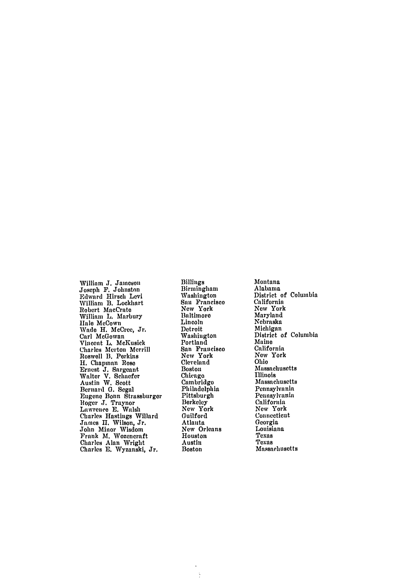William **J.** Jameson Joseph F. Johnstnn Edward Hirsch Levi William **B.** Lockhart Robert MacCrate William L. Marbury Hale McCown Wade H. McCree, Jr. Carl McGowan Vincent L. McKusick Charles Merton Merrill Roswell B. Perkins H. Chapman Rose Ernest J. Sargean Walter V. Schaefer Austin W. Scott Bernard **G.** Segal Eugene Bonn Strassburger Roger J. Traynor Lawrence **E.** Walsh Charles Hastings Willard James **I.** Wilson, Jr. John Minor Wisdom Frank M. Wozencraft Charles Alan Wright Charles **E.** Wyzanski, Jr.

Billings Birmingham Washington San Francisco New York Baltimore Lincoln Detroit Washington Portland San Francisco New York Cleveland Boston Chicago Cambridge Philadelphia Pittsburgh Berkeley Now York Guilford Atlanta **New** Orleans Houston Austin Boston

÷

Montana Alabama District of Columbia California **Now** York Maryland Nebraska Michigan District of Columbia Maine California **Now** York Ohio Massachusetts Illinois Massachusetts Pennsylvania Pennsylvania California New York Connecticut Georgia Louisiana Texas Texas Massachusetts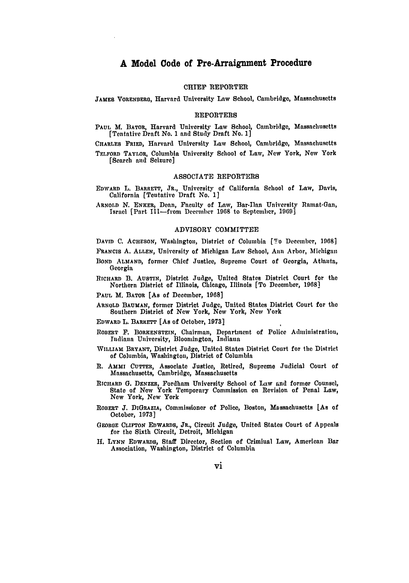## CHIEF REPORTER

JAMES VORENBERG, Harvard University Law School, Cambridge, Massachusetts

## REPORTERS

**PAUL** M. BATOR, Harvard University Law School, Cambridge, Massachusetts [Tentative Draft No. **1** and Study Draft No. **1]**

CHARLES **FRiED,** Harvard University Law School, Cambridge, Massachusetts TELFORD TAYLOR, Columbia University School of Law, New York, **New** York

[Search and Seizure]

#### **ASSOCIATE** REPORTERS

**EDWARD L.** BARRETT, JR., University of California School of Law, Davis, California [Tentative Draft No. **1]**

ARNOLD N. ENKER, Dean, Faculty of Law, Bar-Ilan University Ramat-Gan, Israel [Part 1Il-from Deeemher **1968** to September, **1969]**

### ADVISORY COMMITTEE

**DAVID C. ACHESON,** Washington, District of Columbia [To December, **1968]**

FRANCIS **A. ALLEN,** University of Michigan Law School, Ann Arbor, Michigan

- **BOND ALMAND, former** Chief Justice, Supreme Court of Georgia, Atlanta, Georgia
- **RICHARD** B. **AUSTIN,** District Judge, United States District Court for the Northern District of Illinois, Chicago, Illinois [To December, **1968]**

**PAUL** M. **BATOR [As** of December, **1968]**

- **ARNOLD** BAUMAN, former District Judge, United States District Court for the Southern District of New York, **New** York, **New** York
- **EDWARD** L. **BARRETT** [As of October, **1973]**
- **ROBERT** F. **BORKENSTEIN,** Chairman, Department of Police Administration, Indiana University, Bloomington, Indiana
- **WILLIAM BRYANT,** District Judge, United States District Court for the District of Columbia, Washington, District of Columbia
- **R.** AMmI **CUTTER,** Associate Justice, Retired, Supreme Judicial Court of Massachusetts, Cambridge, Massachusetts
- **RICHARD G. DENZER,** Fordham University School of Law and former Counsel, **State of New York Temporary Commission on Revision of Penal Law, New York, New York**
- **ROBERT J. DIGRAZIA, Commissioner** of Police, Boston, Massachusetts [As of October, **1973]**
- **GEORGE CLIFTON EDWARDS, JR.,** Circuit Judge, United States Court of Appeals for the Sixth Circuit, Detroit, Michigan
- **H. LYNN EDWARDS,** Staff Director, Section of Criminal Law, American Bar Association, Washington, District of Columbia

vi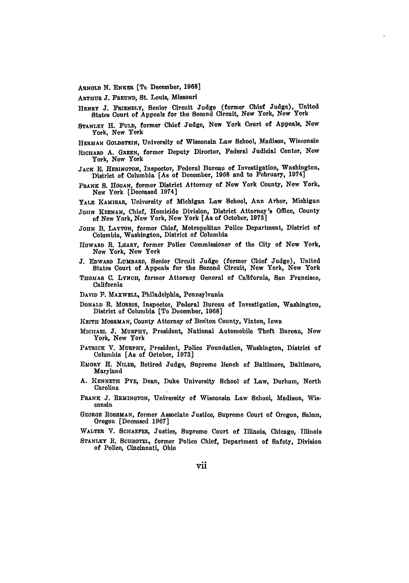ARNOLD **N.** ENKFa [Te, December, **1968]**

ARTHUR **J. FREUND,** St. Louis, Missouri

- HENRY **J.** FRIENDLY, Senior Circuit Judge (former Chief Judge), United States Court of Appeals for the Second Circuit, New York, New York
- **STANLEY** H. **FULD,** former Chief Judge, New York Court of Appeals, **New** York, **New** York
- HERMAN GOLDSTEIN, University of Wisconsin Law School, Madison, Wisconsin
- RICHARD **A. GREEN,** former Deputy Director, Federal Judicial Center, **New** York, **New** York
- **JACK E. HERINOTON,** Inspector, Federal Bureau of Investigation, Washington, District of Columbia [As of December, **1968** and to February, 1974]
- *FRANK* **S. HOGAN,** former District Attorney of New York County, New York, New York [Deceased 1974]
- YALE **KAMISAR,** University of Michigan Law School, Ann Arbor, Michigan
- **JOHN KEENAN,** Chief, Homicide Division, District Attorney's **Office,** County of **New** York, Now York, **New** York [As of October, **1973]**
- **JOHN B.** LAYTON, former Chief, Metropolitan Police Department, District of Columbia, Washington, District of Columbia
- HOWARD R. LEARY, former Police Commissioner of the City of Now York, **New** York, **New** York
- **J.** EDWARD LUMBARD, Senior Circuit Judge (former Chief Judge), United States Court of Appeals for the Second Circuit, New York, **New** York
- **THOMAS C.** LYNCH, former Attorney General of California, San Francisco, California
- **DAVID** F. MAXWELL, Philadelphia, Pennsylvania
- DONALD **R. MORIiS,** Inspector, Federal Bureau of Investigation, Washington, District of Columbia **[To** December, **1968]**
- KEITH MOSSMAN, County Attorney of Benton County, Vinton, Iowa
- **MICHAEL J. MURPHY,** President, National Automobile Theft Bureau, Now York, New York
- PATRICK V. MURPHY, President, Police Foundation, Washington, District of Columbia [As of October, **1973]**
- EMORY H. NILES, Retired Judge, Supreme Bench of Baltimore, Baltimore, Maryland
- **A. KENNETH** PYE, Dean, Duke University School of Law, Durham, North Carolina
- **FRANK J.** REMINGTON, University of Wisconsin Law School, Madison, Wisconsin
- GEoRGE IROSSMAN, former Associate Justice, Supreme Court of Oregon, Salem, Oregon [Deceased **1967]**

WALTER V. SCHAEFER, Justice, Supreme Court of Illinois, Chicago, Illinois

STANLEY R, SCHROTEL, former Police Chief, Department of Safety, Division of Police, Cincinnati, Ohio

vii